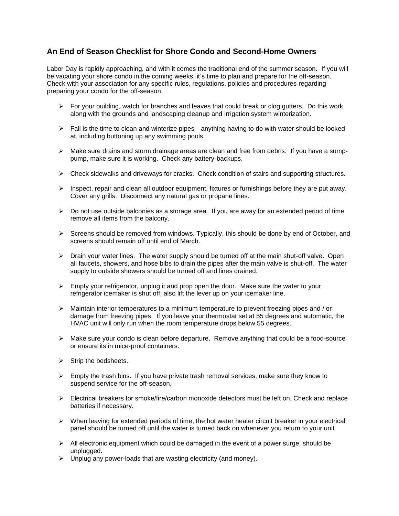## **An End of Season Checklist for Shore Condo and Second-Home Owners**

Labor Day is rapidly approaching, and with it comes the traditional end of the summer season. If you will be vacating your shore condo in the coming weeks, it's time to plan and prepare for the off-season. Check with your association for any specific rules, regulations, policies and procedures regarding preparing your condo for the off-season.

- $\triangleright$  For your building, watch for branches and leaves that could break or clog gutters. Do this work along with the grounds and landscaping cleanup and irrigation system winterization.
- $\triangleright$  Fall is the time to clean and winterize pipes—anything having to do with water should be looked at, including buttoning up any swimming pools.
- $\triangleright$  Make sure drains and storm drainage areas are clean and free from debris. If you have a sumppump, make sure it is working. Check any battery-backups.
- $\triangleright$  Check sidewalks and driveways for cracks. Check condition of stairs and supporting structures.
- $\triangleright$  Inspect, repair and clean all outdoor equipment, fixtures or furnishings before they are put away. Cover any grills. Disconnect any natural gas or propane lines.
- $\triangleright$  Do not use outside balconies as a storage area. If you are away for an extended period of time remove all items from the balcony.
- $\triangleright$  Screens should be removed from windows. Typically, this should be done by end of October, and screens should remain off until end of March.
- $\triangleright$  Drain your water lines. The water supply should be turned off at the main shut-off valve. Open all faucets, showers, and hose bibs to drain the pipes after the main valve is shut-off. The water supply to outside showers should be turned off and lines drained.
- $\triangleright$  Empty your refrigerator, unplug it and prop open the door. Make sure the water to your refrigerator icemaker is shut off; also lift the lever up on your icemaker line.
- $\triangleright$  Maintain interior temperatures to a minimum temperature to prevent freezing pipes and / or damage from freezing pipes. If you leave your thermostat set at 55 degrees and automatic, the HVAC unit will only run when the room temperature drops below 55 degrees.
- $\triangleright$  Make sure your condo is clean before departure. Remove anything that could be a food-source or ensure its in mice-proof containers.
- $\triangleright$  Strip the bedsheets.
- $\triangleright$  Empty the trash bins. If you have private trash removal services, make sure they know to suspend service for the off-season.
- $\triangleright$  Electrical breakers for smoke/fire/carbon monoxide detectors must be left on. Check and replace batteries if necessary.
- $\triangleright$  When leaving for extended periods of time, the hot water heater circuit breaker in your electrical panel should be turned off until the water is turned back on whenever you return to your unit.
- $\triangleright$  All electronic equipment which could be damaged in the event of a power surge, should be unplugged.
- $\triangleright$  Unplug any power-loads that are wasting electricity (and money).